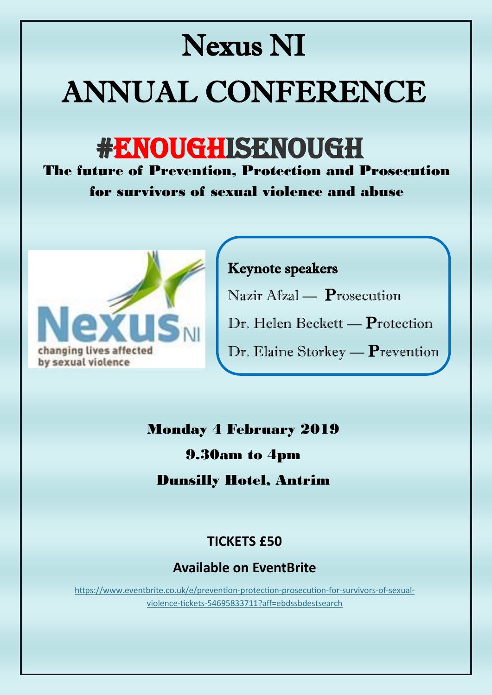# Nexus NI ANNUAL CONFERENCE

# #ENOUGHISENOUGH

The future of Prevention, Protection and Prosecution for survivors of sexual violence and abuse



## Keynote speakers

Nazir Afzal — Prosecution

Dr. Helen Beckett — Protection

Dr. Elaine Storkey — Prevention

### Monday 4 February 2019

#### 9.30am to 4pm

#### Dunsilly Hotel, Antrim

#### **TICKETS £50**

#### **Available on EventBrite**

[https://www.eventbrite.co.uk/e/prevention](https://www.eventbrite.co.uk/e/prevention-protection-prosecution-for-survivors-of-sexual-violence-tickets-54695833711?aff=ebdssbdestsearch)-protection-prosecution-for-survivors-of-sexualviolence-tickets-[54695833711?aff=ebdssbdestsearch](https://www.eventbrite.co.uk/e/prevention-protection-prosecution-for-survivors-of-sexual-violence-tickets-54695833711?aff=ebdssbdestsearch)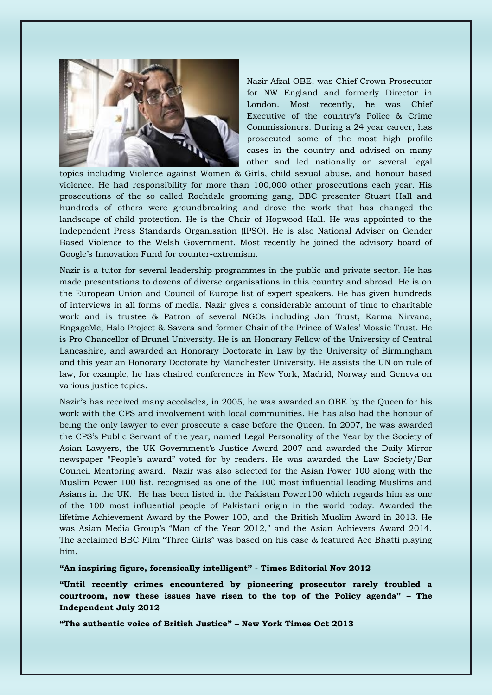

Nazir Afzal OBE, was Chief Crown Prosecutor for NW England and formerly Director in London. Most recently, he was Chief Executive of the country's Police & Crime Commissioners. During a 24 year career, has prosecuted some of the most high profile cases in the country and advised on many other and led nationally on several legal

topics including Violence against Women & Girls, child sexual abuse, and honour based violence. He had responsibility for more than 100,000 other prosecutions each year. His prosecutions of the so called Rochdale grooming gang, BBC presenter Stuart Hall and hundreds of others were groundbreaking and drove the work that has changed the landscape of child protection. He is the Chair of Hopwood Hall. He was appointed to the Independent Press Standards Organisation (IPSO). He is also National Adviser on Gender Based Violence to the Welsh Government. Most recently he joined the advisory board of Google's Innovation Fund for counter-extremism.

Nazir is a tutor for several leadership programmes in the public and private sector. He has made presentations to dozens of diverse organisations in this country and abroad. He is on the European Union and Council of Europe list of expert speakers. He has given hundreds of interviews in all forms of media. Nazir gives a considerable amount of time to charitable work and is trustee & Patron of several NGOs including Jan Trust, Karma Nirvana, EngageMe, Halo Project & Savera and former Chair of the Prince of Wales' Mosaic Trust. He is Pro Chancellor of Brunel University. He is an Honorary Fellow of the University of Central Lancashire, and awarded an Honorary Doctorate in Law by the University of Birmingham and this year an Honorary Doctorate by Manchester University. He assists the UN on rule of law, for example, he has chaired conferences in New York, Madrid, Norway and Geneva on various justice topics.

Nazir's has received many accolades, in 2005, he was awarded an OBE by the Queen for his work with the CPS and involvement with local communities. He has also had the honour of being the only lawyer to ever prosecute a case before the Queen. In 2007, he was awarded the CPS's Public Servant of the year, named Legal Personality of the Year by the Society of Asian Lawyers, the UK Government's Justice Award 2007 and awarded the Daily Mirror newspaper "People's award" voted for by readers. He was awarded the Law Society/Bar Council Mentoring award. Nazir was also selected for the Asian Power 100 along with the Muslim Power 100 list, recognised as one of the 100 most influential leading Muslims and Asians in the UK. He has been listed in the Pakistan Power100 which regards him as one of the 100 most influential people of Pakistani origin in the world today. Awarded the lifetime Achievement Award by the Power 100, and the British Muslim Award in 2013. He was Asian Media Group's "Man of the Year 2012," and the Asian Achievers Award 2014. The acclaimed BBC Film "Three Girls" was based on his case & featured Ace Bhatti playing him.

**"An inspiring figure, forensically intelligent" - Times Editorial Nov 2012**

**"Until recently crimes encountered by pioneering prosecutor rarely troubled a courtroom, now these issues have risen to the top of the Policy agenda" – The Independent July 2012**

**"The authentic voice of British Justice" – New York Times Oct 2013**